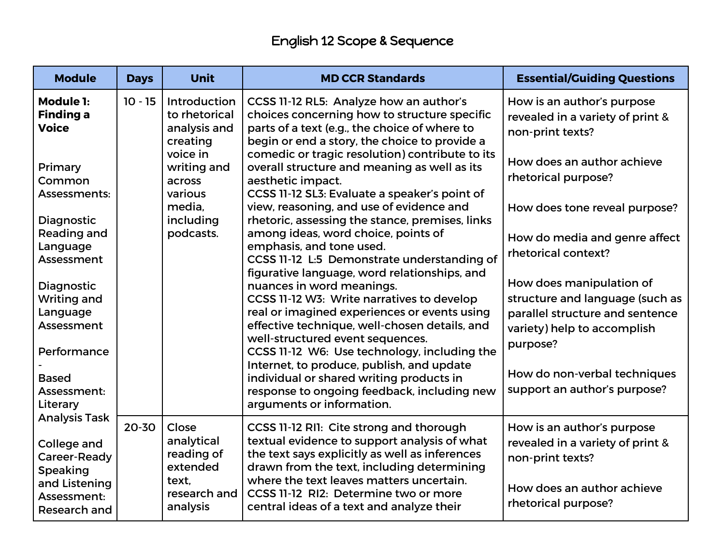## English 12 Scope & Sequence

| <b>Module</b>                                                                                          | <b>Days</b> | Unit                                                                   | <b>MD CCR Standards</b>                                                                                                                                                                                                                                                       | <b>Essential/Guiding Questions</b>                                                                               |
|--------------------------------------------------------------------------------------------------------|-------------|------------------------------------------------------------------------|-------------------------------------------------------------------------------------------------------------------------------------------------------------------------------------------------------------------------------------------------------------------------------|------------------------------------------------------------------------------------------------------------------|
| Module 1:<br><b>Finding a</b><br><b>Voice</b>                                                          | $10 - 15$   | Introduction<br>to rhetorical<br>analysis and<br>creating              | CCSS 11-12 RL5: Analyze how an author's<br>choices concerning how to structure specific<br>parts of a text (e.g., the choice of where to<br>begin or end a story, the choice to provide a                                                                                     | How is an author's purpose<br>revealed in a variety of print &<br>non-print texts?                               |
| Primary<br>Common<br>Assessments:                                                                      |             | voice in<br>writing and<br>across<br>various                           | comedic or tragic resolution) contribute to its<br>overall structure and meaning as well as its<br>aesthetic impact.<br>CCSS 11-12 SL3: Evaluate a speaker's point of                                                                                                         | How does an author achieve<br>rhetorical purpose?                                                                |
| Diagnostic<br>Reading and                                                                              |             | media.<br>including<br>podcasts.                                       | view, reasoning, and use of evidence and<br>rhetoric, assessing the stance, premises, links<br>among ideas, word choice, points of                                                                                                                                            | How does tone reveal purpose?<br>How do media and genre affect                                                   |
| Language<br>Assessment                                                                                 |             |                                                                        | emphasis, and tone used.<br>CCSS 11-12 L:5 Demonstrate understanding of<br>figurative language, word relationships, and                                                                                                                                                       | rhetorical context?                                                                                              |
| Diagnostic<br><b>Writing and</b>                                                                       |             |                                                                        | nuances in word meanings.<br>CCSS 11-12 W3: Write narratives to develop                                                                                                                                                                                                       | How does manipulation of<br>structure and language (such as                                                      |
| Language<br>Assessment                                                                                 |             |                                                                        | real or imagined experiences or events using<br>effective technique, well-chosen details, and<br>well-structured event sequences.                                                                                                                                             | parallel structure and sentence<br>variety) help to accomplish                                                   |
| Performance                                                                                            |             |                                                                        | CCSS 11-12 W6: Use technology, including the                                                                                                                                                                                                                                  | purpose?                                                                                                         |
| <b>Based</b><br>Assessment:<br>Literary                                                                |             |                                                                        | Internet, to produce, publish, and update<br>individual or shared writing products in<br>response to ongoing feedback, including new<br>arguments or information.                                                                                                             | How do non-verbal techniques<br>support an author's purpose?                                                     |
| <b>Analysis Task</b><br>College and<br>Career-Ready<br><b>Speaking</b><br>and Listening<br>Assessment: | 20-30       | Close<br>analytical<br>reading of<br>extended<br>text.<br>research and | CCSS 11-12 RI1: Cite strong and thorough<br>textual evidence to support analysis of what<br>the text says explicitly as well as inferences<br>drawn from the text, including determining<br>where the text leaves matters uncertain.<br>CCSS 11-12 RI2: Determine two or more | How is an author's purpose<br>revealed in a variety of print &<br>non-print texts?<br>How does an author achieve |
| Research and                                                                                           |             | analysis                                                               | central ideas of a text and analyze their                                                                                                                                                                                                                                     | rhetorical purpose?                                                                                              |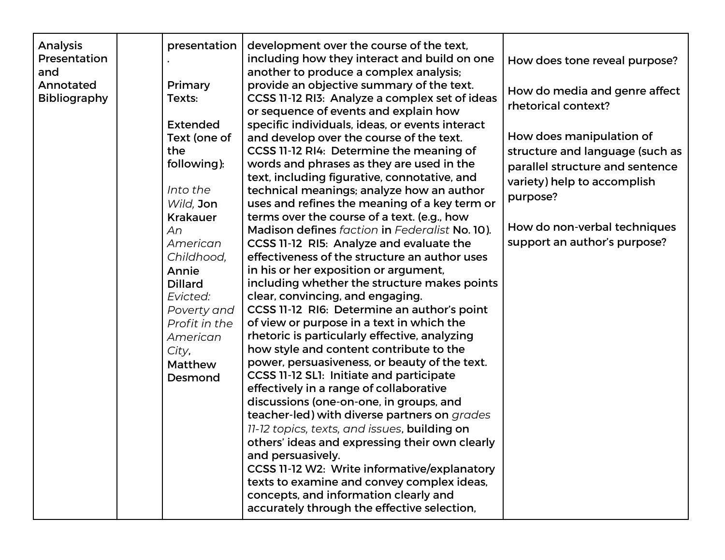| Analysis<br>Presentation | presentation    | development over the course of the text,<br>including how they interact and build on one  | How does tone reveal purpose?   |
|--------------------------|-----------------|-------------------------------------------------------------------------------------------|---------------------------------|
| and                      |                 | another to produce a complex analysis;                                                    |                                 |
| Annotated                | Primary         | provide an objective summary of the text.                                                 | How do media and genre affect   |
| Bibliography             | Texts:          | CCSS 11-12 RI3: Analyze a complex set of ideas<br>or sequence of events and explain how   | rhetorical context?             |
|                          | <b>Extended</b> | specific individuals, ideas, or events interact                                           |                                 |
|                          | Text (one of    | and develop over the course of the text.                                                  | How does manipulation of        |
|                          | the             | CCSS 11-12 RI4: Determine the meaning of                                                  | structure and language (such as |
|                          | following):     | words and phrases as they are used in the<br>text, including figurative, connotative, and | parallel structure and sentence |
|                          | Into the        | technical meanings; analyze how an author                                                 | variety) help to accomplish     |
|                          | Wild, Jon       | uses and refines the meaning of a key term or                                             | purpose?                        |
|                          | <b>Krakauer</b> | terms over the course of a text. (e.g., how                                               |                                 |
|                          | An              | Madison defines faction in Federalist No. 10).                                            | How do non-verbal techniques    |
|                          | American        | CCSS 11-12 RI5: Analyze and evaluate the                                                  | support an author's purpose?    |
|                          | Childhood,      | effectiveness of the structure an author uses                                             |                                 |
|                          | Annie           | in his or her exposition or argument,                                                     |                                 |
|                          | <b>Dillard</b>  | including whether the structure makes points                                              |                                 |
|                          | Evicted:        | clear, convincing, and engaging.                                                          |                                 |
|                          | Poverty and     | CCSS 11-12 RI6: Determine an author's point                                               |                                 |
|                          | Profit in the   | of view or purpose in a text in which the                                                 |                                 |
|                          | American        | rhetoric is particularly effective, analyzing                                             |                                 |
|                          | City,           | how style and content contribute to the                                                   |                                 |
|                          | Matthew         | power, persuasiveness, or beauty of the text.                                             |                                 |
|                          | Desmond         | CCSS 11-12 SL1: Initiate and participate                                                  |                                 |
|                          |                 | effectively in a range of collaborative                                                   |                                 |
|                          |                 | discussions (one-on-one, in groups, and<br>teacher-led) with diverse partners on grades   |                                 |
|                          |                 | 11-12 topics, texts, and issues, building on                                              |                                 |
|                          |                 | others' ideas and expressing their own clearly                                            |                                 |
|                          |                 | and persuasively.                                                                         |                                 |
|                          |                 | CCSS 11-12 W2: Write informative/explanatory                                              |                                 |
|                          |                 | texts to examine and convey complex ideas,                                                |                                 |
|                          |                 | concepts, and information clearly and                                                     |                                 |
|                          |                 | accurately through the effective selection,                                               |                                 |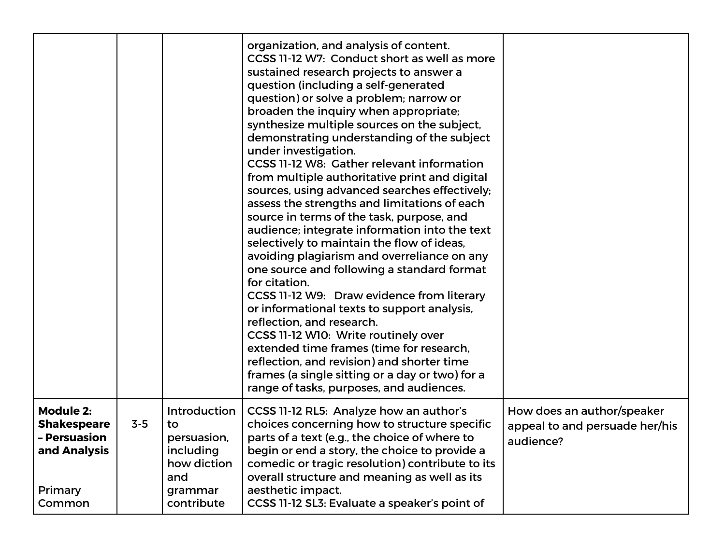|                                                                                             |         |                                                                                               | organization, and analysis of content.<br>CCSS 11-12 W7: Conduct short as well as more<br>sustained research projects to answer a<br>question (including a self-generated<br>question) or solve a problem; narrow or<br>broaden the inquiry when appropriate;<br>synthesize multiple sources on the subject,<br>demonstrating understanding of the subject<br>under investigation.<br>CCSS 11-12 W8: Gather relevant information<br>from multiple authoritative print and digital<br>sources, using advanced searches effectively;<br>assess the strengths and limitations of each<br>source in terms of the task, purpose, and<br>audience; integrate information into the text<br>selectively to maintain the flow of ideas,<br>avoiding plagiarism and overreliance on any<br>one source and following a standard format<br>for citation.<br>CCSS 11-12 W9: Draw evidence from literary<br>or informational texts to support analysis,<br>reflection, and research.<br>CCSS 11-12 W10: Write routinely over<br>extended time frames (time for research,<br>reflection, and revision) and shorter time<br>frames (a single sitting or a day or two) for a<br>range of tasks, purposes, and audiences. |                                                                           |
|---------------------------------------------------------------------------------------------|---------|-----------------------------------------------------------------------------------------------|---------------------------------------------------------------------------------------------------------------------------------------------------------------------------------------------------------------------------------------------------------------------------------------------------------------------------------------------------------------------------------------------------------------------------------------------------------------------------------------------------------------------------------------------------------------------------------------------------------------------------------------------------------------------------------------------------------------------------------------------------------------------------------------------------------------------------------------------------------------------------------------------------------------------------------------------------------------------------------------------------------------------------------------------------------------------------------------------------------------------------------------------------------------------------------------------------------|---------------------------------------------------------------------------|
| <b>Module 2:</b><br><b>Shakespeare</b><br>- Persuasion<br>and Analysis<br>Primary<br>Common | $3 - 5$ | Introduction<br>to<br>persuasion,<br>including<br>how diction<br>and<br>grammar<br>contribute | CCSS 11-12 RL5: Analyze how an author's<br>choices concerning how to structure specific<br>parts of a text (e.g., the choice of where to<br>begin or end a story, the choice to provide a<br>comedic or tragic resolution) contribute to its<br>overall structure and meaning as well as its<br>aesthetic impact.<br>CCSS 11-12 SL3: Evaluate a speaker's point of                                                                                                                                                                                                                                                                                                                                                                                                                                                                                                                                                                                                                                                                                                                                                                                                                                      | How does an author/speaker<br>appeal to and persuade her/his<br>audience? |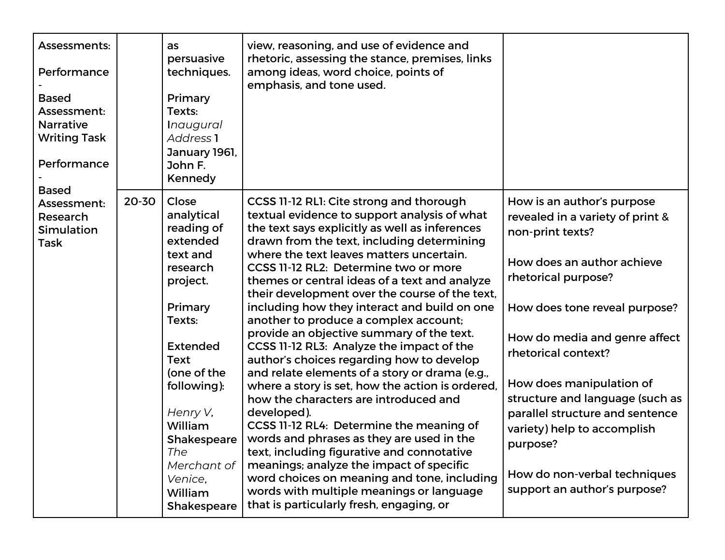| Assessments:<br>Performance<br><b>Based</b><br>Assessment:<br><b>Narrative</b><br><b>Writing Task</b><br>Performance<br><b>Based</b> |       | as<br>persuasive<br>techniques.<br>Primary<br>Texts:<br><i>Inaugural</i><br>Address <sub>1</sub><br>January 1961,<br>John F.<br>Kennedy                                                                                                                          | view, reasoning, and use of evidence and<br>rhetoric, assessing the stance, premises, links<br>among ideas, word choice, points of<br>emphasis, and tone used.                                                                                                                                                                                                                                                                                                                                                                                                                                                                                                                                                                                                                                                                                                                                                                                                                                                                                                                                           |                                                                                                                                                                                                                                                                                                                                                                                                                                               |
|--------------------------------------------------------------------------------------------------------------------------------------|-------|------------------------------------------------------------------------------------------------------------------------------------------------------------------------------------------------------------------------------------------------------------------|----------------------------------------------------------------------------------------------------------------------------------------------------------------------------------------------------------------------------------------------------------------------------------------------------------------------------------------------------------------------------------------------------------------------------------------------------------------------------------------------------------------------------------------------------------------------------------------------------------------------------------------------------------------------------------------------------------------------------------------------------------------------------------------------------------------------------------------------------------------------------------------------------------------------------------------------------------------------------------------------------------------------------------------------------------------------------------------------------------|-----------------------------------------------------------------------------------------------------------------------------------------------------------------------------------------------------------------------------------------------------------------------------------------------------------------------------------------------------------------------------------------------------------------------------------------------|
| Assessment:<br>Research<br><b>Simulation</b><br><b>Task</b>                                                                          | 20-30 | Close<br>analytical<br>reading of<br>extended<br>text and<br>research<br>project.<br>Primary<br>Texts:<br><b>Extended</b><br>Text<br>(one of the<br>following):<br>Henry V,<br>William<br>Shakespeare<br>The<br>Merchant of<br>Venice,<br>William<br>Shakespeare | CCSS 11-12 RL1: Cite strong and thorough<br>textual evidence to support analysis of what<br>the text says explicitly as well as inferences<br>drawn from the text, including determining<br>where the text leaves matters uncertain.<br>CCSS 11-12 RL2: Determine two or more<br>themes or central ideas of a text and analyze<br>their development over the course of the text,<br>including how they interact and build on one<br>another to produce a complex account;<br>provide an objective summary of the text.<br>CCSS 11-12 RL3: Analyze the impact of the<br>author's choices regarding how to develop<br>and relate elements of a story or drama (e.g.,<br>where a story is set, how the action is ordered,<br>how the characters are introduced and<br>developed).<br>CCSS 11-12 RL4: Determine the meaning of<br>words and phrases as they are used in the<br>text, including figurative and connotative<br>meanings; analyze the impact of specific<br>word choices on meaning and tone, including<br>words with multiple meanings or language<br>that is particularly fresh, engaging, or | How is an author's purpose<br>revealed in a variety of print &<br>non-print texts?<br>How does an author achieve<br>rhetorical purpose?<br>How does tone reveal purpose?<br>How do media and genre affect<br>rhetorical context?<br>How does manipulation of<br>structure and language (such as<br>parallel structure and sentence<br>variety) help to accomplish<br>purpose?<br>How do non-verbal techniques<br>support an author's purpose? |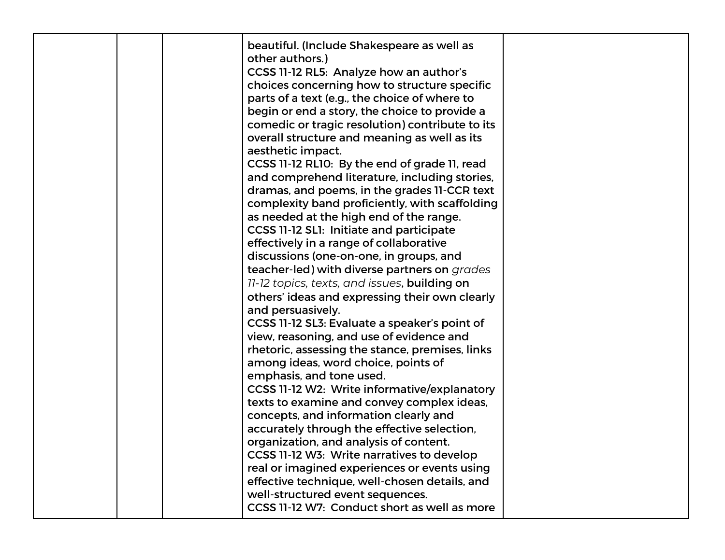|  | beautiful. (Include Shakespeare as well as<br>other authors.)<br>CCSS 11-12 RL5: Analyze how an author's<br>choices concerning how to structure specific<br>parts of a text (e.g., the choice of where to<br>begin or end a story, the choice to provide a<br>comedic or tragic resolution) contribute to its<br>overall structure and meaning as well as its<br>aesthetic impact.<br>CCSS 11-12 RL10: By the end of grade 11, read<br>and comprehend literature, including stories,<br>dramas, and poems, in the grades II-CCR text<br>complexity band proficiently, with scaffolding<br>as needed at the high end of the range.<br>CCSS 11-12 SL1: Initiate and participate<br>effectively in a range of collaborative<br>discussions (one-on-one, in groups, and<br>teacher-led) with diverse partners on grades<br>11-12 topics, texts, and issues, building on<br>others' ideas and expressing their own clearly<br>and persuasively.<br>CCSS 11-12 SL3: Evaluate a speaker's point of<br>view, reasoning, and use of evidence and<br>rhetoric, assessing the stance, premises, links<br>among ideas, word choice, points of<br>emphasis, and tone used.<br>CCSS 11-12 W2: Write informative/explanatory<br>texts to examine and convey complex ideas,<br>concepts, and information clearly and<br>accurately through the effective selection,<br>organization, and analysis of content.<br>CCSS 11-12 W3: Write narratives to develop<br>real or imagined experiences or events using<br>effective technique, well-chosen details, and |  |
|--|----------------------------------------------------------------------------------------------------------------------------------------------------------------------------------------------------------------------------------------------------------------------------------------------------------------------------------------------------------------------------------------------------------------------------------------------------------------------------------------------------------------------------------------------------------------------------------------------------------------------------------------------------------------------------------------------------------------------------------------------------------------------------------------------------------------------------------------------------------------------------------------------------------------------------------------------------------------------------------------------------------------------------------------------------------------------------------------------------------------------------------------------------------------------------------------------------------------------------------------------------------------------------------------------------------------------------------------------------------------------------------------------------------------------------------------------------------------------------------------------------------------------------------------------|--|
|  | well-structured event sequences.<br>CCSS 11-12 W7: Conduct short as well as more                                                                                                                                                                                                                                                                                                                                                                                                                                                                                                                                                                                                                                                                                                                                                                                                                                                                                                                                                                                                                                                                                                                                                                                                                                                                                                                                                                                                                                                             |  |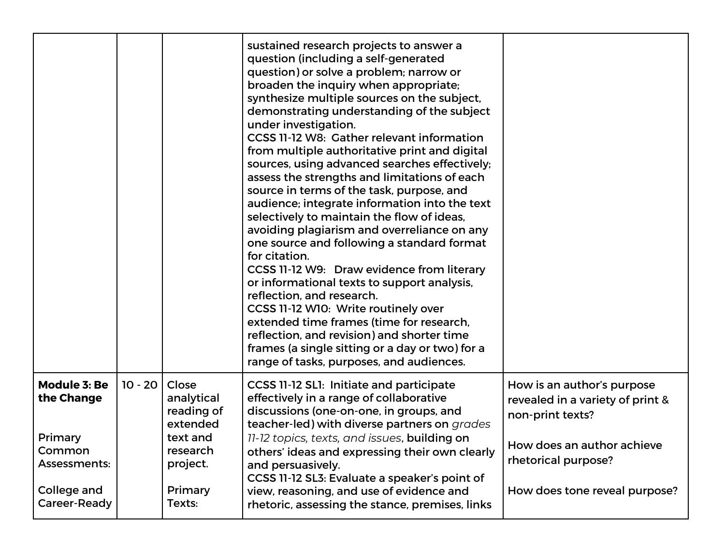|                                                                                                       |           |                                                                                                        | sustained research projects to answer a<br>question (including a self-generated<br>question) or solve a problem; narrow or<br>broaden the inquiry when appropriate;<br>synthesize multiple sources on the subject,<br>demonstrating understanding of the subject<br>under investigation.<br>CCSS 11-12 W8: Gather relevant information<br>from multiple authoritative print and digital<br>sources, using advanced searches effectively;<br>assess the strengths and limitations of each<br>source in terms of the task, purpose, and<br>audience; integrate information into the text<br>selectively to maintain the flow of ideas,<br>avoiding plagiarism and overreliance on any<br>one source and following a standard format<br>for citation.<br>CCSS 11-12 W9: Draw evidence from literary<br>or informational texts to support analysis,<br>reflection, and research.<br>CCSS 11-12 W10: Write routinely over<br>extended time frames (time for research,<br>reflection, and revision) and shorter time<br>frames (a single sitting or a day or two) for a<br>range of tasks, purposes, and audiences. |                                                                                                                                                                          |
|-------------------------------------------------------------------------------------------------------|-----------|--------------------------------------------------------------------------------------------------------|---------------------------------------------------------------------------------------------------------------------------------------------------------------------------------------------------------------------------------------------------------------------------------------------------------------------------------------------------------------------------------------------------------------------------------------------------------------------------------------------------------------------------------------------------------------------------------------------------------------------------------------------------------------------------------------------------------------------------------------------------------------------------------------------------------------------------------------------------------------------------------------------------------------------------------------------------------------------------------------------------------------------------------------------------------------------------------------------------------------|--------------------------------------------------------------------------------------------------------------------------------------------------------------------------|
| <b>Module 3: Be</b><br>the Change<br>Primary<br>Common<br>Assessments:<br>College and<br>Career-Ready | $10 - 20$ | Close<br>analytical<br>reading of<br>extended<br>text and<br>research<br>project.<br>Primary<br>Texts: | CCSS 11-12 SL1: Initiate and participate<br>effectively in a range of collaborative<br>discussions (one-on-one, in groups, and<br>teacher-led) with diverse partners on grades<br>11-12 topics, texts, and issues, building on<br>others' ideas and expressing their own clearly<br>and persuasively.<br>CCSS 11-12 SL3: Evaluate a speaker's point of<br>view, reasoning, and use of evidence and<br>rhetoric, assessing the stance, premises, links                                                                                                                                                                                                                                                                                                                                                                                                                                                                                                                                                                                                                                                         | How is an author's purpose<br>revealed in a variety of print &<br>non-print texts?<br>How does an author achieve<br>rhetorical purpose?<br>How does tone reveal purpose? |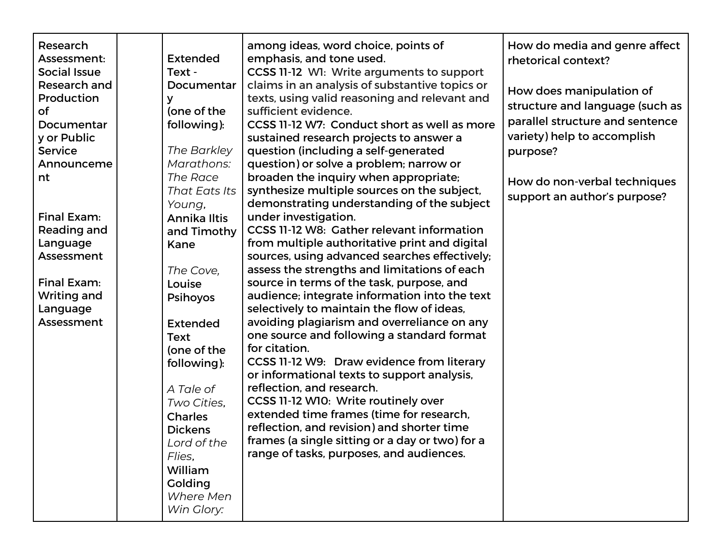| Research            |                 | among ideas, word choice, points of             | How do media and genre affect   |
|---------------------|-----------------|-------------------------------------------------|---------------------------------|
| Assessment:         | <b>Extended</b> | emphasis, and tone used.                        | rhetorical context?             |
| <b>Social Issue</b> | Text -          | CCSS 11-12 W1: Write arguments to support       |                                 |
| Research and        | Documentar      | claims in an analysis of substantive topics or  | How does manipulation of        |
| Production          | У               | texts, using valid reasoning and relevant and   |                                 |
| <b>of</b>           | (one of the     | sufficient evidence.                            | structure and language (such as |
| Documentar          | following):     | CCSS 11-12 W7: Conduct short as well as more    | parallel structure and sentence |
| y or Public         |                 | sustained research projects to answer a         | variety) help to accomplish     |
| <b>Service</b>      | The Barkley     | question (including a self-generated            | purpose?                        |
| Announceme          | Marathons:      | question) or solve a problem; narrow or         |                                 |
| nt                  | The Race        | broaden the inquiry when appropriate;           | How do non-verbal techniques    |
|                     | That Eats Its   | synthesize multiple sources on the subject,     | support an author's purpose?    |
|                     | Young,          | demonstrating understanding of the subject      |                                 |
| Final Exam:         | Annika Iltis    | under investigation.                            |                                 |
| Reading and         | and Timothy     | CCSS 11-12 W8: Gather relevant information      |                                 |
| Language            | Kane            | from multiple authoritative print and digital   |                                 |
| Assessment          |                 | sources, using advanced searches effectively;   |                                 |
|                     | The Cove,       | assess the strengths and limitations of each    |                                 |
| Final Exam:         | Louise          | source in terms of the task, purpose, and       |                                 |
| <b>Writing and</b>  | <b>Psihoyos</b> | audience; integrate information into the text   |                                 |
| Language            |                 | selectively to maintain the flow of ideas,      |                                 |
| Assessment          | <b>Extended</b> | avoiding plagiarism and overreliance on any     |                                 |
|                     | <b>Text</b>     | one source and following a standard format      |                                 |
|                     | (one of the     | for citation.                                   |                                 |
|                     | following):     | CCSS 11-12 W9: Draw evidence from literary      |                                 |
|                     |                 | or informational texts to support analysis,     |                                 |
|                     | A Tale of       | reflection, and research.                       |                                 |
|                     | Two Cities,     | CCSS 11-12 W10: Write routinely over            |                                 |
|                     | <b>Charles</b>  | extended time frames (time for research,        |                                 |
|                     | <b>Dickens</b>  | reflection, and revision) and shorter time      |                                 |
|                     | Lord of the     | frames (a single sitting or a day or two) for a |                                 |
|                     | Flies,          | range of tasks, purposes, and audiences.        |                                 |
|                     | William         |                                                 |                                 |
|                     | Golding         |                                                 |                                 |
|                     | Where Men       |                                                 |                                 |
|                     | Win Glory:      |                                                 |                                 |
|                     |                 |                                                 |                                 |